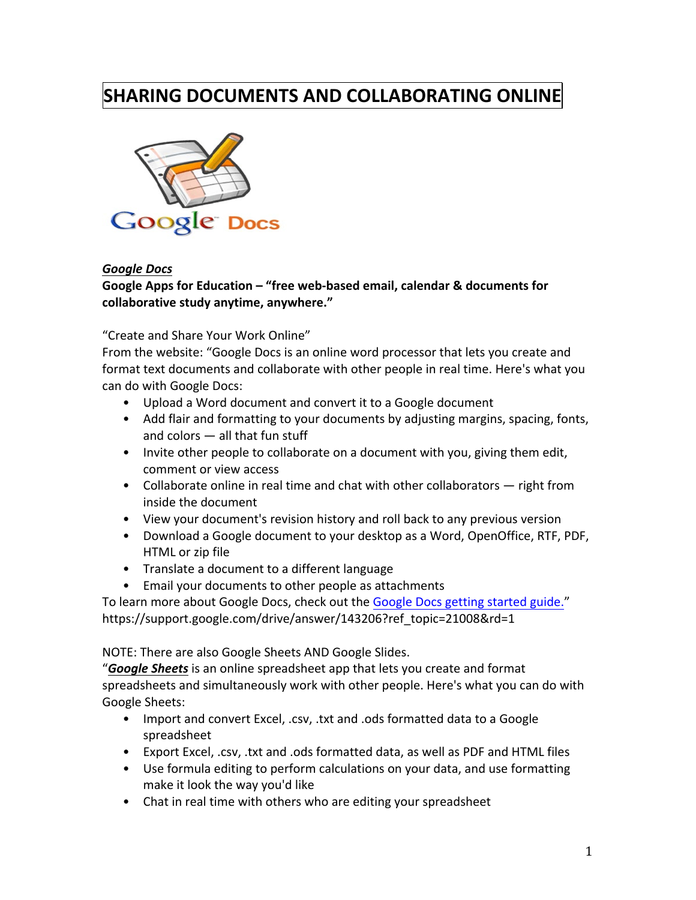# **SHARING DOCUMENTS AND COLLABORATING ONLINE**



#### *Google!Docs*

## Google Apps for Education – "free web-based email, calendar & documents for collaborative study anytime, anywhere."

#### "Create and Share Your Work Online"

From the website: "Google Docs is an online word processor that lets you create and format text documents and collaborate with other people in real time. Here's what you can do with Google Docs:

- Upload a Word document and convert it to a Google document
- Add flair and formatting to your documents by adjusting margins, spacing, fonts, and colors  $-$  all that fun stuff
- Invite other people to collaborate on a document with you, giving them edit, comment or view access
- Collaborate online in real time and chat with other collaborators  $-$  right from inside the document
- View your document's revision history and roll back to any previous version
- Download a Google document to your desktop as a Word, OpenOffice, RTF, PDF, HTML or zip file
- Translate a document to a different language
- Email your documents to other people as attachments

To learn more about Google Docs, check out the Google Docs getting started guide." https://support.google.com/drive/answer/143206?ref\_topic=21008&rd=1

NOTE: There are also Google Sheets AND Google Slides.

"**Google Sheets** is an online spreadsheet app that lets you create and format spreadsheets and simultaneously work with other people. Here's what you can do with Google Sheets:

- Import and convert Excel, .csv, .txt and .ods formatted data to a Google spreadsheet
- Export Excel, .csv, .txt and .ods formatted data, as well as PDF and HTML files
- Use formula editing to perform calculations on your data, and use formatting make it look the way you'd like
- Chat in real time with others who are editing your spreadsheet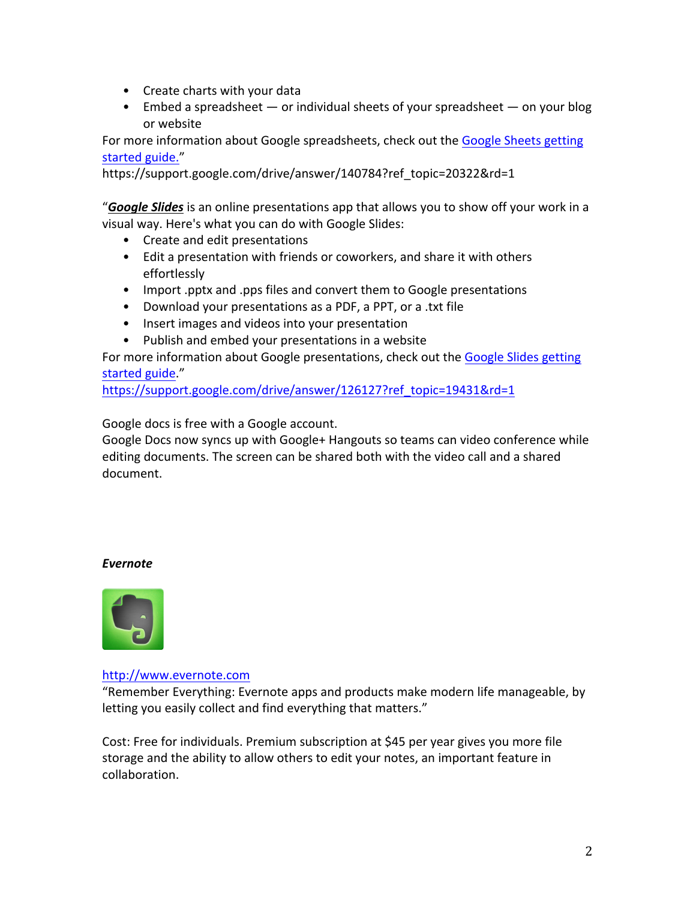- Create charts with your data
- Embed a spreadsheet or individual sheets of your spreadsheet on your blog or!website

For more information about Google spreadsheets, check out the Google Sheets getting started guide."

https://support.google.com/drive/answer/140784?ref\_topic=20322&rd=1

"**Google Slides** is an online presentations app that allows you to show off your work in a visual way. Here's what you can do with Google Slides:

- Create and edit presentations
- Edit a presentation with friends or coworkers, and share it with others effortlessly
- Import .pptx and .pps files and convert them to Google presentations
- Download your presentations as a PDF, a PPT, or a .txt file
- Insert images and videos into your presentation
- Publish and embed your presentations in a website

For more information about Google presentations, check out the Google Slides getting started guide."

https://support.google.com/drive/answer/126127?ref\_topic=19431&rd=1

Google docs is free with a Google account.

Google Docs now syncs up with Google+ Hangouts so teams can video conference while editing documents. The screen can be shared both with the video call and a shared document.

#### *Evernote*



#### http://www.evernote.com

"Remember Everything: Evernote apps and products make modern life manageable, by letting you easily collect and find everything that matters."

Cost: Free for individuals. Premium subscription at \$45 per year gives you more file storage and the ability to allow others to edit your notes, an important feature in collaboration.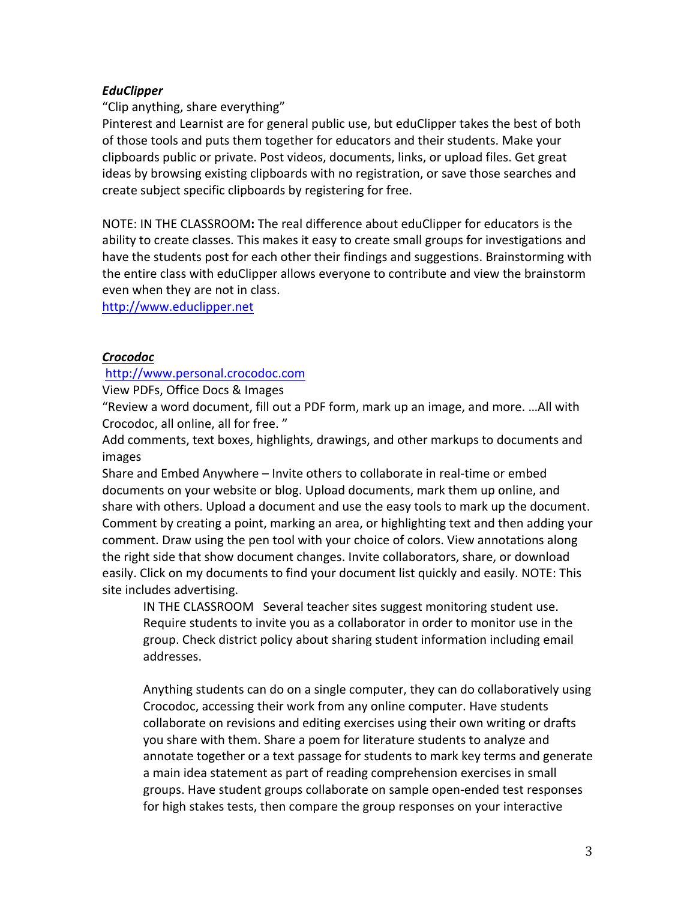## *EduClipper*

"Clip anything, share everything"

Pinterest and Learnist are for general public use, but eduClipper takes the best of both of those tools and puts them together for educators and their students. Make your clipboards public or private. Post videos, documents, links, or upload files. Get great ideas by browsing existing clipboards with no registration, or save those searches and create subject specific clipboards by registering for free.

NOTE: IN THE CLASSROOM: The real difference about eduClipper for educators is the ability to create classes. This makes it easy to create small groups for investigations and have the students post for each other their findings and suggestions. Brainstorming with the entire class with eduClipper allows everyone to contribute and view the brainstorm even when they are not in class.

http://www.educlipper.net

## *Crocodoc!!!!*

### http://www.personal.crocodoc.com

View PDFs, Office Docs & Images

"Review a word document, fill out a PDF form, mark up an image, and more. ...All with Crocodoc, all online, all for free."

Add comments, text boxes, highlights, drawings, and other markups to documents and images

Share and Embed Anywhere – Invite others to collaborate in real-time or embed documents on your website or blog. Upload documents, mark them up online, and share with others. Upload a document and use the easy tools to mark up the document. Comment by creating a point, marking an area, or highlighting text and then adding your comment. Draw using the pen tool with your choice of colors. View annotations along the right side that show document changes. Invite collaborators, share, or download easily. Click on my documents to find your document list quickly and easily. NOTE: This site includes advertising.

IN THE CLASSROOM Several teacher sites suggest monitoring student use. Require students to invite you as a collaborator in order to monitor use in the group. Check district policy about sharing student information including email addresses.

Anything students can do on a single computer, they can do collaboratively using Crocodoc, accessing their work from any online computer. Have students collaborate on revisions and editing exercises using their own writing or drafts you share with them. Share a poem for literature students to analyze and annotate together or a text passage for students to mark key terms and generate a main idea statement as part of reading comprehension exercises in small groups. Have student groups collaborate on sample open-ended test responses for high stakes tests, then compare the group responses on your interactive